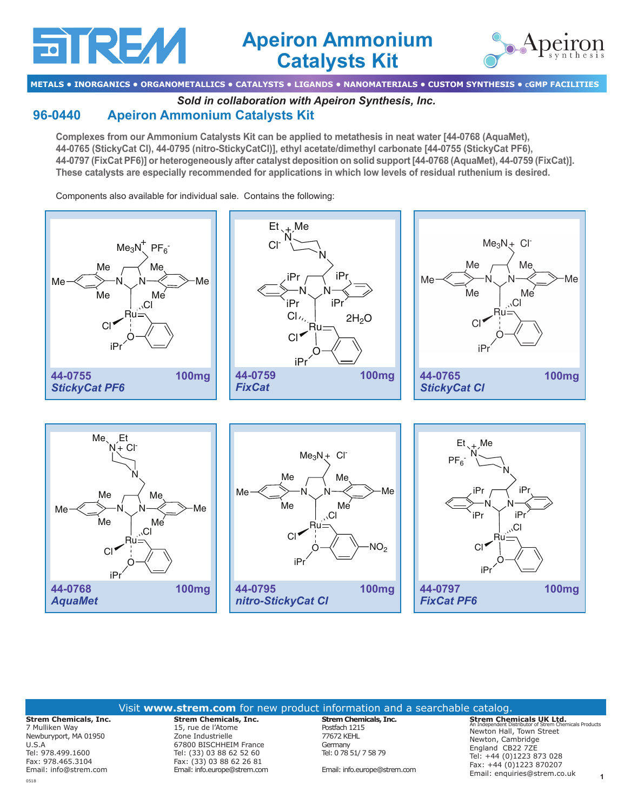# aire//

## **Apeiron Ammonium Catalysts Kit**



**METALS • INORGANICS • ORGANOMETALLICS • CATALYSTS • LIGANDS • NANOMATERIALS • CUSTOM SYNTHESIS • cGMP FACILITIES**

*Sold in collaboration with Apeiron Synthesis, Inc.* 

### **[96-0440](http://www.strem.com/catalog/v/96-0440/) Apeiron Ammonium Catalysts Kit**

**Complexes from our Ammonium Catalysts Kit can be applied to metathesis in neat water [44-0768 (AquaMet), 44-0765 (StickyCat Cl), 44-0795 (nitro-StickyCatCl)], ethyl acetate/dimethyl carbonate [44-0755 (StickyCat PF6), 44-0797 (FixCat PF6)] or heterogeneously after catalyst deposition on solid support [44-0768 (AquaMet), 44-0759 (FixCat)]. These catalysts are especially recommended for applications in which low levels of residual ruthenium is desired.**

Components also available for individual sale. Contains the following:



#### Visit **www.strem.com** for new product information and a searchable catalog.

**Strem Chemicals, Inc.** 7 Mulliken Way Newburyport, MA 01950  $II S A$ Tel: 978.499.1600 Fax: 978.465.3104 Email: info@strem.com 0518

**Strem Chemicals, Inc.**  15, rue de l'Atome Zone Industrielle 67800 BISCHHEIM France Tel: (33) 03 88 62 52 60 Fax: (33) 03 88 62 26 81 Email: info.europe@strem.com **Strem Chemicals, Inc.** Postfach 1215 77672 KEHL Germany Tel: 0 78 51/ 7 58 79

Email: info.europe@strem.com

**1 Strem Chemicals UK Ltd.** An Independent Distributor of Strem Chemicals Products Newton Hall, Town Street Newton, Cambridge England CB22 7ZE Tel: +44 (0)1223 873 028 Fax: +44 (0)1223 870207 Email: enquiries@strem.co.uk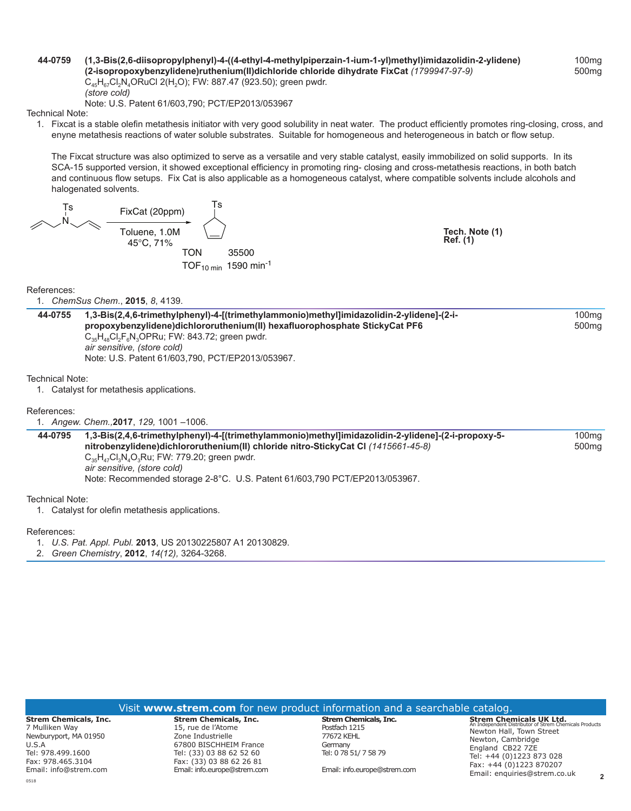#### **[44-0759](http://www.strem.com/catalog/v/44-0759/)**44-0759 **(1,3-Bis(2,6-diisopropylphenyl)-4-((4-ethyl-4-methylpiperzain-1-ium-1-yl)methyl)imidazolidin-2-ylidene) (2-isopropoxybenzylidene)ruthenium(II)dichloride chloride dihydrate FixCat** *(1799947‑97‑9)*  $C_{45}H_{87}Cl_{2}N_{4}ORuCl$  2(H<sub>2</sub>O); FW: 887.47 (923.50); green pwdr. *(store cold)*

Note: U.S. Patent 61/603,790; PCT/EP2013/053967

Technical Note:

1. Fixcat is a stable olefin metathesis initiator with very good solubility in neat water. The product efficiently promotes ring-closing, cross, and enyne metathesis reactions of water soluble substrates. Suitable for homogeneous and heterogeneous in batch or flow setup.

 The Fixcat structure was also optimized to serve as a versatile and very stable catalyst, easily immobilized on solid supports. In its SCA-15 supported version, it showed exceptional efficiency in promoting ring- closing and cross-metathesis reactions, in both batch and continuous flow setups. Fix Cat is also applicable as a homogeneous catalyst, where compatible solvents include alcohols and halogenated solvents.

N Ts FixCat (20ppm) Toluene, 1.0M 45°C, 71% Ts TON 35500 TOF10 min 1590 min-1

**Tech. Note (1) Ref. (1)**

References: 1. *ChemSus Chem*., **2015**, *8*, 4139.

**[44-0755](http://www.strem.com/catalog/v/44-0755/)**44-0755 **1,3-Bis(2,4,6-trimethylphenyl)-4-[(trimethylammonio)methyl]imidazolidin-2-ylidene]-(2-ipropoxybenzylidene)dichlororuthenium(II) hexafluorophosphate StickyCat PF6**  $C_{35}H_{48}Cl_2F_6N_3OPRu$ ; FW: 843.72; green pwdr. *air sensitive, (store cold)* Note: U.S. Patent 61/603,790, PCT/EP2013/053967. 100mg 500mg

Technical Note:

1. Catalyst for metathesis applications.

References:

1. *Angew. Chem.,***2017**, *129,* 1001 –1006.

**[44-0795](http://www.strem.com/catalog/v/44-0795/)**44-0795 **1,3-Bis(2,4,6-trimethylphenyl)-4-[(trimethylammonio)methyl]imidazolidin-2-ylidene]-(2-i-propoxy-5 nitrobenzylidene)dichlororuthenium(II) chloride nitro-StickyCat Cl** *(1415661‑45‑8)*  $C_{35}H_{47}Cl_{3}N_{4}O_{3}Ru$ ; FW: 779.20; green pwdr. *air sensitive, (store cold)* Note: Recommended storage 2-8°C. U.S. Patent 61/603,790 PCT/EP2013/053967. 100mg 500mg

Technical Note:

1. Catalyst for olefin metathesis applications.

References:

0518

1. *U.S. Pat. Appl. Publ.* **2013**, US 20130225807 A1 20130829.

2. *Green Chemistry*, **2012**, *14(12),* 3264-3268.

|                                                                                                                            |                                                                                                                                                           | Visit www.strem.com for new product information and a searchable catalog.                |                                                                                                                                                                                                                      |  |
|----------------------------------------------------------------------------------------------------------------------------|-----------------------------------------------------------------------------------------------------------------------------------------------------------|------------------------------------------------------------------------------------------|----------------------------------------------------------------------------------------------------------------------------------------------------------------------------------------------------------------------|--|
| <b>Strem Chemicals, Inc.</b><br>7 Mulliken Wav<br>Newburyport, MA 01950<br>U.S.A<br>Tel: 978.499.1600<br>Fax: 978.465.3104 | <b>Strem Chemicals, Inc.</b><br>15, rue de l'Atome<br>Zone Industrielle<br>67800 BISCHHEIM France<br>Tel: (33) 03 88 62 52 60<br>Fax: (33) 03 88 62 26 81 | Strem Chemicals, Inc.<br>Postfach 1215<br>77672 KEHL<br>Germany<br>Tel: 0 78 51/ 7 58 79 | <b>Strem Chemicals UK Ltd.</b><br>An Independent Distributor of Strem Chemicals Products<br>Newton Hall, Town Street<br>Newton, Cambridge<br>England CB22 7ZE<br>Tel: +44 (0)1223 873 028<br>Fax: +44 (0)1223 870207 |  |
| Email: info@strem.com                                                                                                      | Email: info.europe@strem.com                                                                                                                              | Email: info.europe@strem.com                                                             | Email: enquiries@strem.co.uk                                                                                                                                                                                         |  |